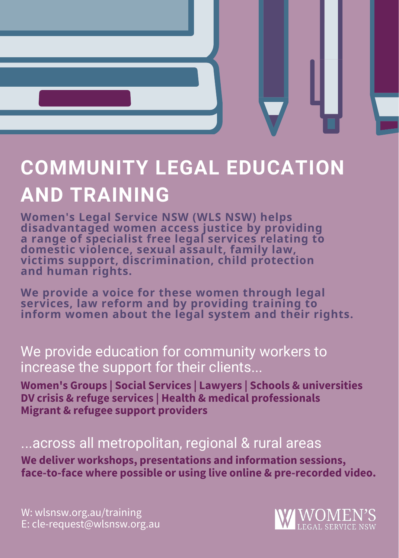

## **COMMUNITY LEGAL EDUCATION AND TRAINING**

**Women's Legal Service NSW (WLS NSW) helps disadvantaged women access justice by providing a range of specialist free legal services relating to domestic violence, sexual assault, family law, victims support, discrimination, child protection and human rights.**

**We provide a voice for these women through legal services, law reform and by providing training to inform women about the legal system and their rights.**

#### We provide education for community workers to increase the support for their clients...

**Women's Groups | Social Services | Lawyers | Schools & universities DV crisis & refuge services | Health & medical professionals Migrant & refugee support providers**

#### ...across all metropolitan, regional & rural areas

**We deliver workshops, presentations and information sessions, face-to-face where possible or using live online & pre-recorded video.**

W: wlsnsw.org.au/training E: cle-request@wlsnsw.org.au